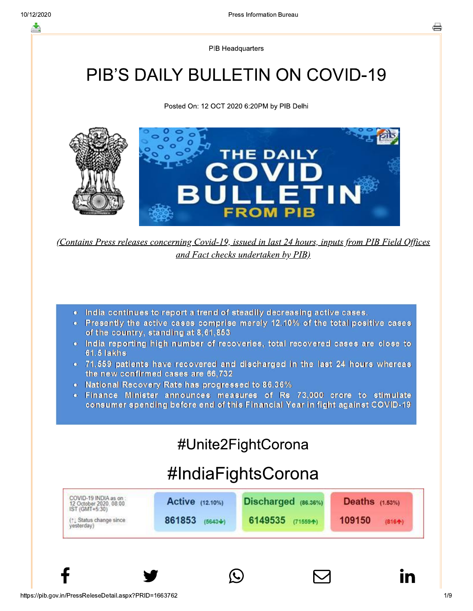**PIB Headquarters** 

# PIB'S DAILY BULLETIN ON COVID-19

Posted On: 12 OCT 2020 6:20PM by PIB Delhi



(Contains Press releases concerning Covid-19, issued in last 24 hours, inputs from PIB Field Offices and Fact checks undertaken by PIB)

- India continues to report a trend of steadily decreasing active cases.
- Presently the active cases comprise merely 12.10% of the total positive cases of the country, standing at 8,61,853
- India reporting high number of recoveries, total recovered cases are close to **61.5 lakhs**
- 71,559 patients have recovered and discharged in the last 24 hours whereas the new confirmed cases are 66,732
- National Recovery Rate has progressed to 86.36%
- . Finance Minister announces measures of Rs 73,000 crore to stimulate consumer spending before end of this Financial Year in fight against COVID-19

# #Unite2FightCorona

# #IndiaFightsCorona

| IST (GMT+5:30)                                                                                      | <b>Deaths</b> $(1.53%)$ |
|-----------------------------------------------------------------------------------------------------|-------------------------|
| 861853<br>6149535<br>109150<br>$(5643 + )$<br>(1) Status change since<br>$(71559 + )$<br>yesterday) | (8164)                  |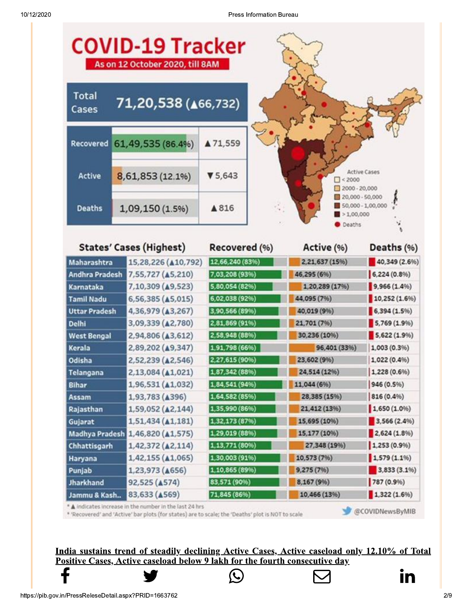

\* 'Recovered' and 'Active' bar plots (for states) are to scale; the 'Deaths' plot is NOT to scale

@COVIDNewsByMIB

In

India sustains trend of steadily declining Active Cases, Active caseload only 12.10% of Total Positive Cases, Active caseload below 9 lakh for the fourth consecutive day

https://pib.gov.in/PressReleseDetail.aspx?PRID=1663762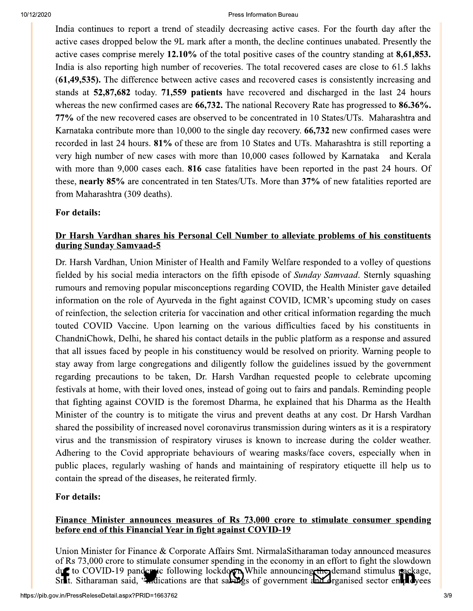India continues to report a trend of steadily decreasing active cases. For the fourth day after the active cases dropped below the 9L mark after a month, the decline continues unabated. Presently the active cases comprise merely 12.10% of the total positive cases of the country standing at 8,61,853. India is also reporting high number of recoveries. The total recovered cases are close to 61.5 lakhs (61,49,535). The difference between active cases and recovered cases is consistently increasing and stands at 52,87,682 today. 71,559 patients have recovered and discharged in the last 24 hours whereas the new confirmed cases are  $66,732$ . The national Recovery Rate has progressed to  $86.36\%$ . 77% of the new recovered cases are observed to be concentrated in 10 States/UTs. Maharashtra and Karnataka contribute more than 10,000 to the single day recovery. 66,732 new confirmed cases were recorded in last 24 hours. 81% of these are from 10 States and UTs. Maharashtra is still reporting a very high number of new cases with more than 10,000 cases followed by Karnataka and Kerala with more than 9,000 cases each. 816 case fatalities have been reported in the past 24 hours. Of these, nearly 85% are concentrated in ten States/UTs. More than 37% of new fatalities reported are from Maharashtra (309 deaths).

### For details:

### Dr Harsh Vardhan shares his Personal Cell Number to alleviate problems of his constituents during Sunday Samvaad-5

Dr. Harsh Vardhan, Union Minister of Health and Family Welfare responded to a volley of questions fielded by his social media interactors on the fifth episode of *Sunday Samvaad*. Sternly squashing rumours and removing popular misconceptions regarding COVID, the Health Minister gave detailed information on the role of Ayurveda in the fight against COVID, ICMR's upcoming study on cases of reinfection, the selection criteria for vaccination and other critical information regarding the much touted COVID Vaccine. Upon learning on the various difficulties faced by his constituents in ChandniChowk, Delhi, he shared his contact details in the public platform as a response and assured that all issues faced by people in his constituency would be resolved on priority. Warning people to stay away from large congregations and diligently follow the guidelines issued by the government regarding precautions to be taken, Dr. Harsh Vardhan requested people to celebrate upcoming festivals at home, with their loved ones, instead of going out to fairs and pandals. Reminding people that fighting against COVID is the foremost Dharma, he explained that his Dharma as the Health Minister of the country is to mitigate the virus and prevent deaths at any cost. Dr Harsh Vardhan shared the possibility of increased novel coronavirus transmission during winters as it is a respiratory virus and the transmission of respiratory viruses is known to increase during the colder weather. Adhering to the Covid appropriate behaviours of wearing masks/face covers, especially when in public places, regularly washing of hands and maintaining of respiratory etiquette ill help us to contain the spread of the diseases, he reiterated firmly.

# For details:

#### Finance Minister announces measures of Rs 73,000 crore to stimulate consumer spending before end of this Financial Year in fight against COVID-19

Union Minister for Finance & Corporate Affairs Smt. Nirmala Sitharaman today announced measures of Rs 73,000 crore to stimulate consumer spending in the economy in an effort to fight the slowdown due to COVID-19 pandemic following lockdown While announcing the demand stimulus package, Srlt. Sitharaman said, "Indications are that sakings of government and organised sector employees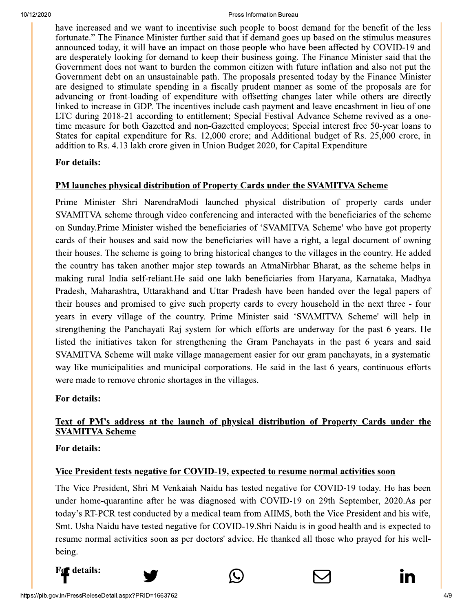have increased and we want to incentivise such people to boost demand for the benefit of the less fortunate." The Finance Minister further said that if demand goes up based on the stimulus measures announced today, it will have an impact on those people who have been affected by COVID-19 and are desperately looking for demand to keep their business going. The Finance Minister said that the Government does not want to burden the common citizen with future inflation and also not put the Government debt on an unsustainable path. The proposals presented today by the Finance Minister are designed to stimulate spending in a fiscally prudent manner as some of the proposals are for advancing or front-loading of expenditure with offsetting changes later while others are directly linked to increase in GDP. The incentives include cash payment and leave encashment in lieu of one LTC during 2018-21 according to entitlement; Special Festival Advance Scheme revived as a onetime measure for both Gazetted and non-Gazetted employees; Special interest free 50-year loans to States for capital expenditure for Rs. 12,000 crore; and Additional budget of Rs. 25,000 crore, in addition to Rs. 4.13 lakh crore given in Union Budget 2020, for Capital Expenditure

### For details:

#### PM launches physical distribution of Property Cards under the SVAMITVA Scheme

Prime Minister Shri NarendraModi launched physical distribution of property cards under SVAMITVA scheme through video conferencing and interacted with the beneficiaries of the scheme on Sunday. Prime Minister wished the beneficiaries of 'SVAMITVA Scheme' who have got property cards of their houses and said now the beneficiaries will have a right, a legal document of owning their houses. The scheme is going to bring historical changes to the villages in the country. He added the country has taken another major step towards an AtmaNirbhar Bharat, as the scheme helps in making rural India self-reliant. He said one lakh beneficiaries from Haryana, Karnataka, Madhya Pradesh, Maharashtra, Uttarakhand and Uttar Pradesh have been handed over the legal papers of their houses and promised to give such property cards to every household in the next three - four years in every village of the country. Prime Minister said 'SVAMITVA Scheme' will help in strengthening the Panchayati Raj system for which efforts are underway for the past 6 years. He listed the initiatives taken for strengthening the Gram Panchayats in the past 6 years and said SVAMITVA Scheme will make village management easier for our gram panchayats, in a systematic way like municipalities and municipal corporations. He said in the last 6 years, continuous efforts were made to remove chronic shortages in the villages.

#### For details:

# Text of PM's address at the launch of physical distribution of Property Cards under the **SVAMITVA Scheme**

#### For details:

#### Vice President tests negative for COVID-19, expected to resume normal activities soon

The Vice President, Shri M Venkaiah Naidu has tested negative for COVID-19 today. He has been under home-quarantine after he was diagnosed with COVID-19 on 29th September, 2020.As per today's RT-PCR test conducted by a medical team from AIIMS, both the Vice President and his wife, Smt. Usha Naidu have tested negative for COVID-19. Shri Naidu is in good health and is expected to resume normal activities soon as per doctors' advice. He thanked all those who prayed for his wellbeing.

For details:





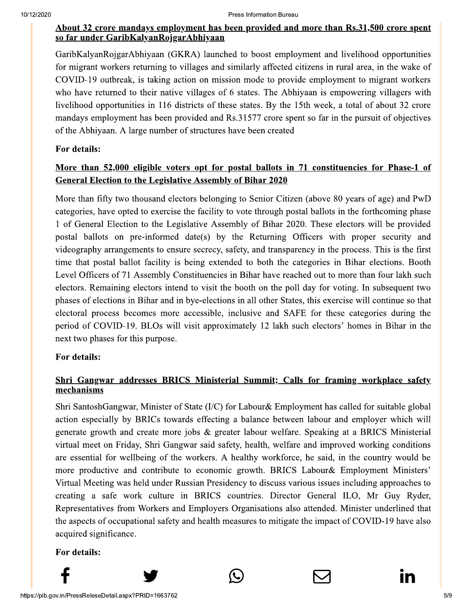### About 32 crore mandays employment has been provided and more than Rs.31,500 crore spent so far under GaribKalyanRojgarAbhiyaan

GaribKalyanRojgarAbhiyaan (GKRA) launched to boost employment and livelihood opportunities for migrant workers returning to villages and similarly affected citizens in rural area, in the wake of COVID-19 outbreak, is taking action on mission mode to provide employment to migrant workers who have returned to their native villages of 6 states. The Abhiyaan is empowering villagers with livelihood opportunities in 116 districts of these states. By the 15th week, a total of about 32 crore mandays employment has been provided and Rs.31577 crore spent so far in the pursuit of objectives of the Abhiyaan. A large number of structures have been created

# For details:

# More than 52,000 eligible voters opt for postal ballots in 71 constituencies for Phase-1 of **General Election to the Legislative Assembly of Bihar 2020**

More than fifty two thousand electors belonging to Senior Citizen (above 80 years of age) and PwD categories, have opted to exercise the facility to vote through postal ballots in the forthcoming phase 1 of General Election to the Legislative Assembly of Bihar 2020. These electors will be provided postal ballots on pre-informed date(s) by the Returning Officers with proper security and videography arrangements to ensure secrecy, safety, and transparency in the process. This is the first time that postal ballot facility is being extended to both the categories in Bihar elections. Booth Level Officers of 71 Assembly Constituencies in Bihar have reached out to more than four lakh such electors. Remaining electors intend to visit the booth on the poll day for voting. In subsequent two phases of elections in Bihar and in bye-elections in all other States, this exercise will continue so that electoral process becomes more accessible, inclusive and SAFE for these categories during the period of COVID-19. BLOs will visit approximately 12 lakh such electors' homes in Bihar in the next two phases for this purpose.

# For details:

# Shri Gangwar addresses BRICS Ministerial Summit; Calls for framing workplace safety mechanisms

Shri SantoshGangwar, Minister of State ( $I/C$ ) for Labour & Employment has called for suitable global action especially by BRICs towards effecting a balance between labour and employer which will generate growth and create more jobs & greater labour welfare. Speaking at a BRICS Ministerial virtual meet on Friday, Shri Gangwar said safety, health, welfare and improved working conditions are essential for wellbeing of the workers. A healthy workforce, he said, in the country would be more productive and contribute to economic growth. BRICS Labour& Employment Ministers' Virtual Meeting was held under Russian Presidency to discuss various issues including approaches to creating a safe work culture in BRICS countries. Director General ILO, Mr Guy Ryder, Representatives from Workers and Employers Organisations also attended. Minister underlined that the aspects of occupational safety and health measures to mitigate the impact of COVID-19 have also acquired significance.

# For details: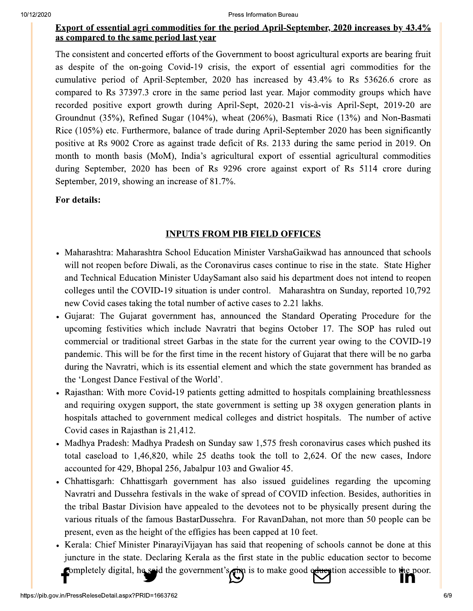#### Export of essential agri commodities for the period April-September, 2020 increases by 43.4% as compared to the same period last year

The consistent and concerted efforts of the Government to boost agricultural exports are bearing fruit as despite of the on-going Covid-19 crisis, the export of essential agri commodities for the cumulative period of April-September, 2020 has increased by 43.4% to Rs 53626.6 crore as compared to Rs 37397.3 crore in the same period last year. Major commodity groups which have recorded positive export growth during April-Sept, 2020-21 vis-à-vis April-Sept, 2019-20 are Groundnut (35%), Refined Sugar (104%), wheat (206%), Basmati Rice (13%) and Non-Basmati Rice (105%) etc. Furthermore, balance of trade during April-September 2020 has been significantly positive at Rs 9002 Crore as against trade deficit of Rs. 2133 during the same period in 2019. On month to month basis (MoM), India's agricultural export of essential agricultural commodities during September, 2020 has been of Rs 9296 crore against export of Rs 5114 crore during September, 2019, showing an increase of 81.7%.

### For details:

### **INPUTS FROM PIB FIELD OFFICES**

- Maharashtra: Maharashtra School Education Minister VarshaGaikwad has announced that schools will not reopen before Diwali, as the Coronavirus cases continue to rise in the state. State Higher and Technical Education Minister UdaySamant also said his department does not intend to reopen colleges until the COVID-19 situation is under control. Maharashtra on Sunday, reported 10,792 new Covid cases taking the total number of active cases to 2.21 lakhs.
- Gujarat: The Gujarat government has, announced the Standard Operating Procedure for the upcoming festivities which include Navratri that begins October 17. The SOP has ruled out commercial or traditional street Garbas in the state for the current year owing to the COVID-19 pandemic. This will be for the first time in the recent history of Gujarat that there will be no garba during the Navratri, which is its essential element and which the state government has branded as the 'Longest Dance Festival of the World'.
- Rajasthan: With more Covid-19 patients getting admitted to hospitals complaining breathlessness and requiring oxygen support, the state government is setting up 38 oxygen generation plants in hospitals attached to government medical colleges and district hospitals. The number of active Covid cases in Rajasthan is 21,412.
- Madhya Pradesh: Madhya Pradesh on Sunday saw 1,575 fresh coronavirus cases which pushed its total caseload to  $1,46,820$ , while 25 deaths took the toll to 2,624. Of the new cases, Indore accounted for 429, Bhopal 256, Jabalpur 103 and Gwalior 45.
- Chhattisgarh: Chhattisgarh government has also issued guidelines regarding the upcoming Navratri and Dussehra festivals in the wake of spread of COVID infection. Besides, authorities in the tribal Bastar Division have appealed to the devotees not to be physically present during the various rituals of the famous BastarDussehra. For RavanDahan, not more than 50 people can be present, even as the height of the effigies has been capped at 10 feet.
- Kerala: Chief Minister PinarayiVijayan has said that reopening of schools cannot be done at this juncture in the state. Declaring Kerala as the first state in the public education sector to become completely digital, he said the government's and is to make good education accessible to the poor. **ו זו**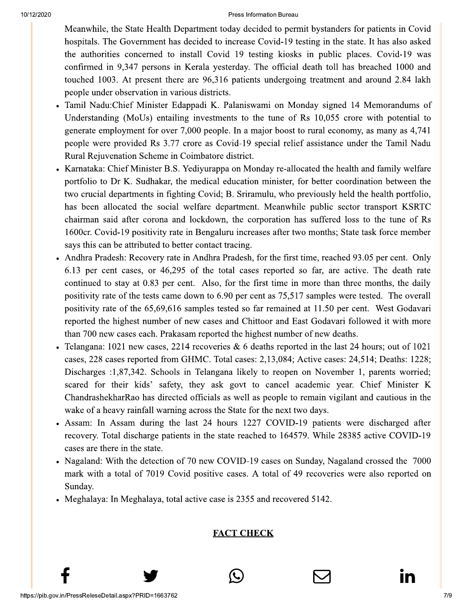Meanwhile, the State Health Department today decided to permit bystanders for patients in Covid hospitals. The Government has decided to increase Covid-19 testing in the state. It has also asked the authorities concerned to install Covid 19 testing kiosks in public places. Covid-19 was confirmed in 9,347 persons in Kerala yesterday. The official death toll has breached 1000 and touched 1003. At present there are 96,316 patients undergoing treatment and around 2.84 lakh people under observation in various districts.

- Tamil Nadu: Chief Minister Edappadi K. Palaniswami on Monday signed 14 Memorandums of Understanding (MoUs) entailing investments to the tune of Rs 10,055 crore with potential to generate employment for over 7,000 people. In a major boost to rural economy, as many as 4,741 people were provided Rs 3.77 crore as Covid-19 special relief assistance under the Tamil Nadu Rural Rejuvenation Scheme in Coimbatore district.
- Karnataka: Chief Minister B.S. Yediyurappa on Monday re-allocated the health and family welfare portfolio to Dr K. Sudhakar, the medical education minister, for better coordination between the two crucial departments in fighting Covid; B. Sriramulu, who previously held the health portfolio, has been allocated the social welfare department. Meanwhile public sector transport KSRTC chairman said after corona and lockdown, the corporation has suffered loss to the tune of Rs 1600cr. Covid-19 positivity rate in Bengaluru increases after two months; State task force member says this can be attributed to better contact tracing.
- Andhra Pradesh: Recovery rate in Andhra Pradesh, for the first time, reached 93.05 per cent. Only 6.13 per cent cases, or 46,295 of the total cases reported so far, are active. The death rate continued to stay at 0.83 per cent. Also, for the first time in more than three months, the daily positivity rate of the tests came down to 6.90 per cent as 75,517 samples were tested. The overall positivity rate of the 65,69,616 samples tested so far remained at 11.50 per cent. West Godavari reported the highest number of new cases and Chittoor and East Godavari followed it with more than 700 new cases each. Prakasam reported the highest number of new deaths.
- Telangana: 1021 new cases, 2214 recoveries  $\&$  6 deaths reported in the last 24 hours; out of 1021 cases, 228 cases reported from GHMC. Total cases: 2,13,084; Active cases: 24,514; Deaths: 1228; Discharges :1,87,342. Schools in Telangana likely to reopen on November 1, parents worried; scared for their kids' safety, they ask govt to cancel academic year. Chief Minister K ChandrashekharRao has directed officials as well as people to remain vigilant and cautious in the wake of a heavy rainfall warning across the State for the next two days.
- Assam: In Assam during the last 24 hours 1227 COVID-19 patients were discharged after recovery. Total discharge patients in the state reached to 164579. While 28385 active COVID-19 cases are there in the state.
- Nagaland: With the detection of 70 new COVID-19 cases on Sunday, Nagaland crossed the 7000 mark with a total of 7019 Covid positive cases. A total of 49 recoveries were also reported on Sunday.
- Meghalaya: In Meghalaya, total active case is 2355 and recovered 5142.

# **FACT CHECK**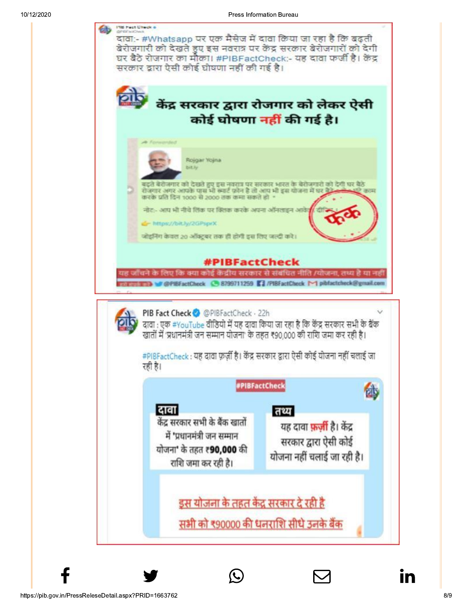